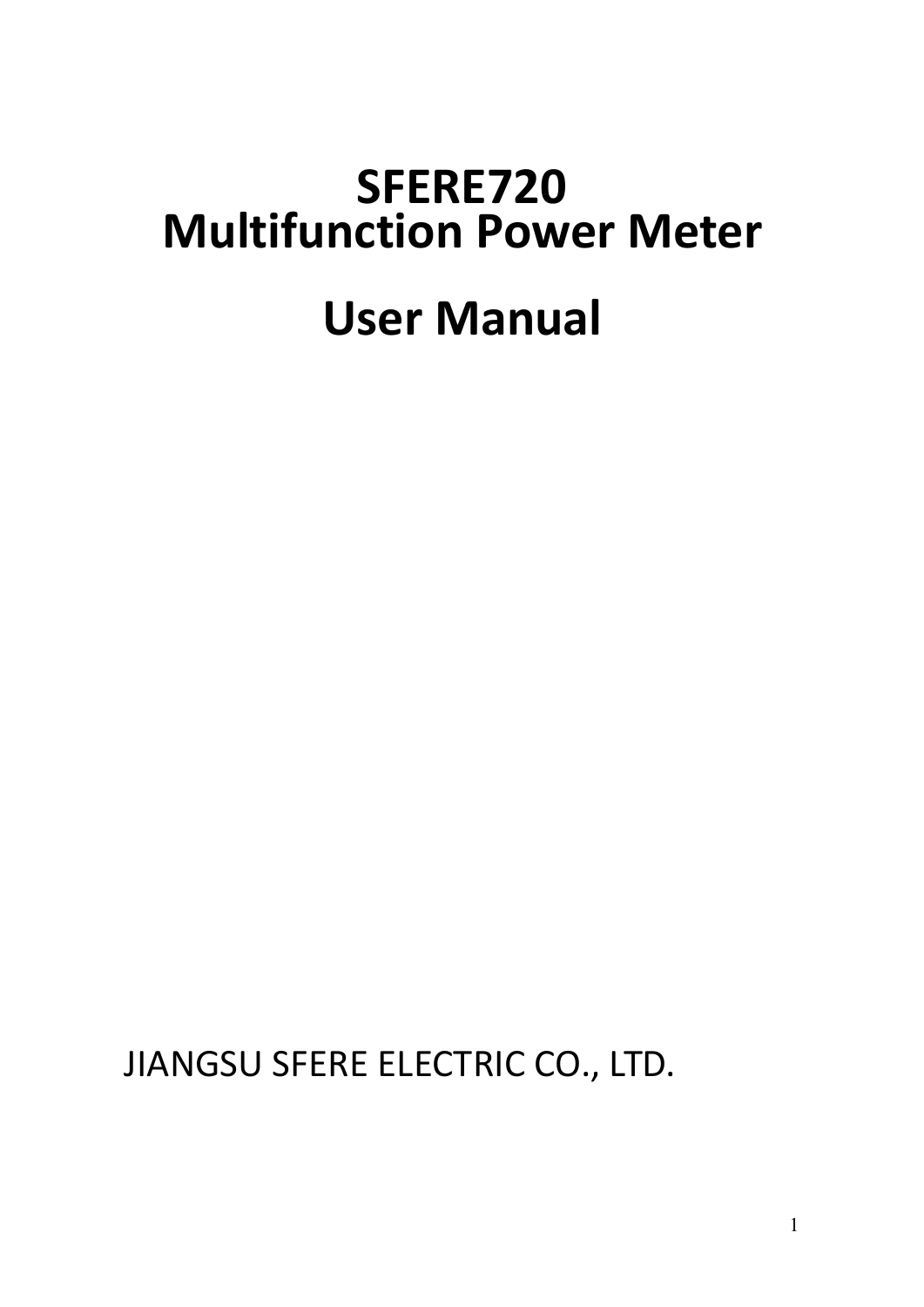# **SFERE720 Multifunction Power Meter**

## **User Manual**

JIANGSU SFERE ELECTRIC CO., LTD.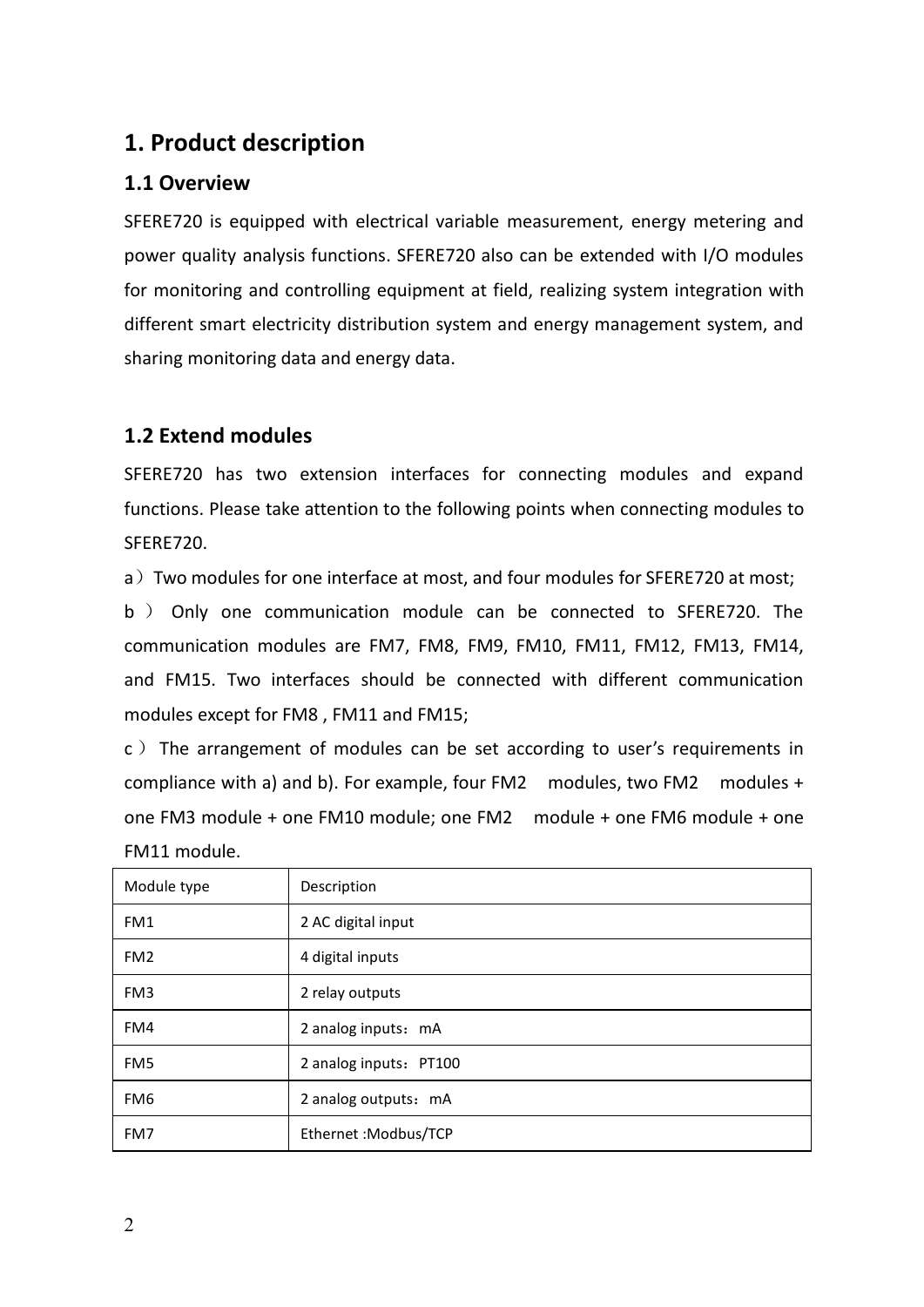## **1. Product description**

#### **1.1 Overview**

SFERE720 is equipped with electrical variable measurement, energy metering and power quality analysis functions. SFERE720 also can be extended with I/O modules for monitoring and controlling equipment at field, realizing system integration with different smart electricity distribution system and energy management system, and sharing monitoring data and energy data.

#### **1.2 Extend modules**

SFERE720 has two extension interfaces for connecting modules and expand functions. Please take attention to the following points when connecting modules to SFERE720.

a) Two modules for one interface at most, and four modules for SFERE720 at most;

b ) Only one communication module can be connected to SFERE720. The communication modules are FM7, FM8, FM9, FM10, FM11, FM12, FM13, FM14, and FM15. Two interfaces should be connected with different communication modules except for FM8, FM11 and FM15;<br>c ) The arrangement of modules can be set according to user's requirements in

compliance with a) and b). For example, four FM2 modules, two FM2 modules + one FM3 module + one FM10 module; one FM2 module + one FM6 module + one FM11 module.

| Module type     | Description            |  |  |  |
|-----------------|------------------------|--|--|--|
| FM1             | 2 AC digital input     |  |  |  |
| FM <sub>2</sub> | 4 digital inputs       |  |  |  |
| FM3             | 2 relay outputs        |  |  |  |
| FM4             | 2 analog inputs: mA    |  |  |  |
| FM <sub>5</sub> | 2 analog inputs: PT100 |  |  |  |
| FM <sub>6</sub> | 2 analog outputs: mA   |  |  |  |
| FM7             | Ethernet : Modbus/TCP  |  |  |  |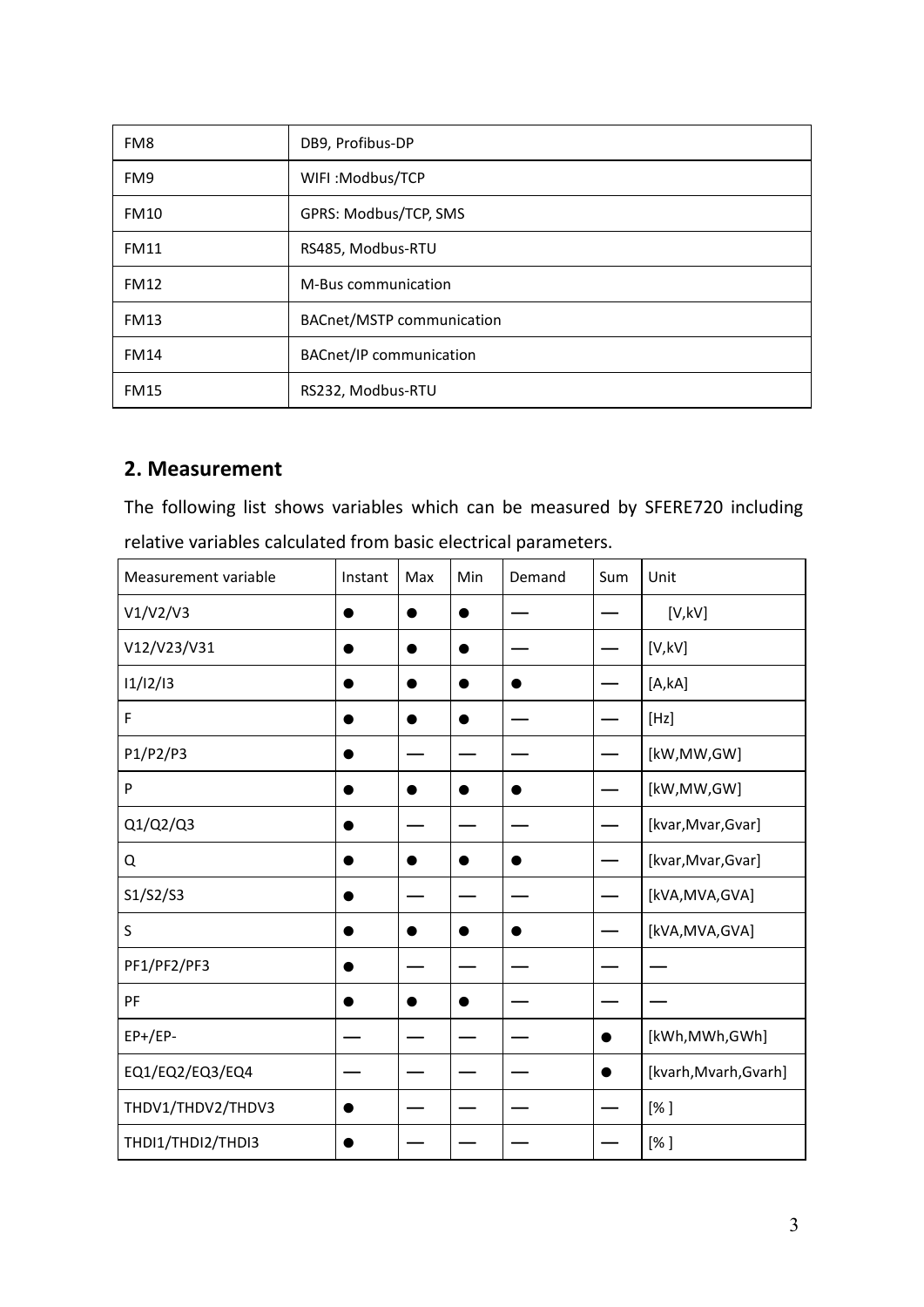| FM8         | DB9, Profibus-DP               |  |  |  |
|-------------|--------------------------------|--|--|--|
| FM9         | WIFI:Modbus/TCP                |  |  |  |
| <b>FM10</b> | GPRS: Modbus/TCP, SMS          |  |  |  |
| <b>FM11</b> | RS485, Modbus-RTU              |  |  |  |
| <b>FM12</b> | M-Bus communication            |  |  |  |
| <b>FM13</b> | BACnet/MSTP communication      |  |  |  |
| <b>FM14</b> | <b>BACnet/IP communication</b> |  |  |  |
| <b>FM15</b> | RS232, Modbus-RTU              |  |  |  |

#### **2. Measurement**

The following list shows variables which can be measured by SFERE720 including relative variables calculated from basic electrical parameters.

| Measurement variable | Instant   | Max       | Min       | Demand    | Sum       | Unit                  |
|----------------------|-----------|-----------|-----------|-----------|-----------|-----------------------|
| V1/V2/V3             | $\bullet$ | $\bullet$ | $\bullet$ |           |           | [V,KV]                |
| V12/V23/V31          | $\bullet$ | $\bullet$ | $\bullet$ |           |           | [V,KV]                |
| 11/12/13             | $\bullet$ | $\bullet$ | $\bullet$ | $\bullet$ |           | [A, kA]               |
| F                    | $\bullet$ | $\bullet$ | $\bullet$ |           |           | [Hz]                  |
| P1/P2/P3             | $\bullet$ |           |           |           |           | [kW,MW,GW]            |
| P                    | $\bullet$ | $\bullet$ | $\bullet$ | $\bullet$ |           | [kW,MW,GW]            |
| Q1/Q2/Q3             | $\bullet$ |           |           |           |           | [kvar, Mvar, Gvar]    |
| Q                    | $\bullet$ | $\bullet$ | $\bullet$ | $\bullet$ |           | [kvar, Mvar, Gvar]    |
| S1/S2/S3             | $\bullet$ |           |           |           |           | [kVA,MVA,GVA]         |
| S                    | $\bullet$ | $\bullet$ | $\bullet$ | $\bullet$ |           | [kVA,MVA,GVA]         |
| PF1/PF2/PF3          | $\bullet$ |           |           |           |           |                       |
| PF                   | $\bullet$ | $\bullet$ | $\bullet$ |           |           |                       |
| $EP+/EP-$            |           |           |           |           |           | [kWh,MWh,GWh]         |
| EQ1/EQ2/EQ3/EQ4      | —         |           |           |           | $\bullet$ | [kvarh, Mvarh, Gvarh] |
| THDV1/THDV2/THDV3    | $\bullet$ |           |           |           |           | $[%]$                 |
| THDI1/THDI2/THDI3    | $\bullet$ |           |           |           |           | [%]                   |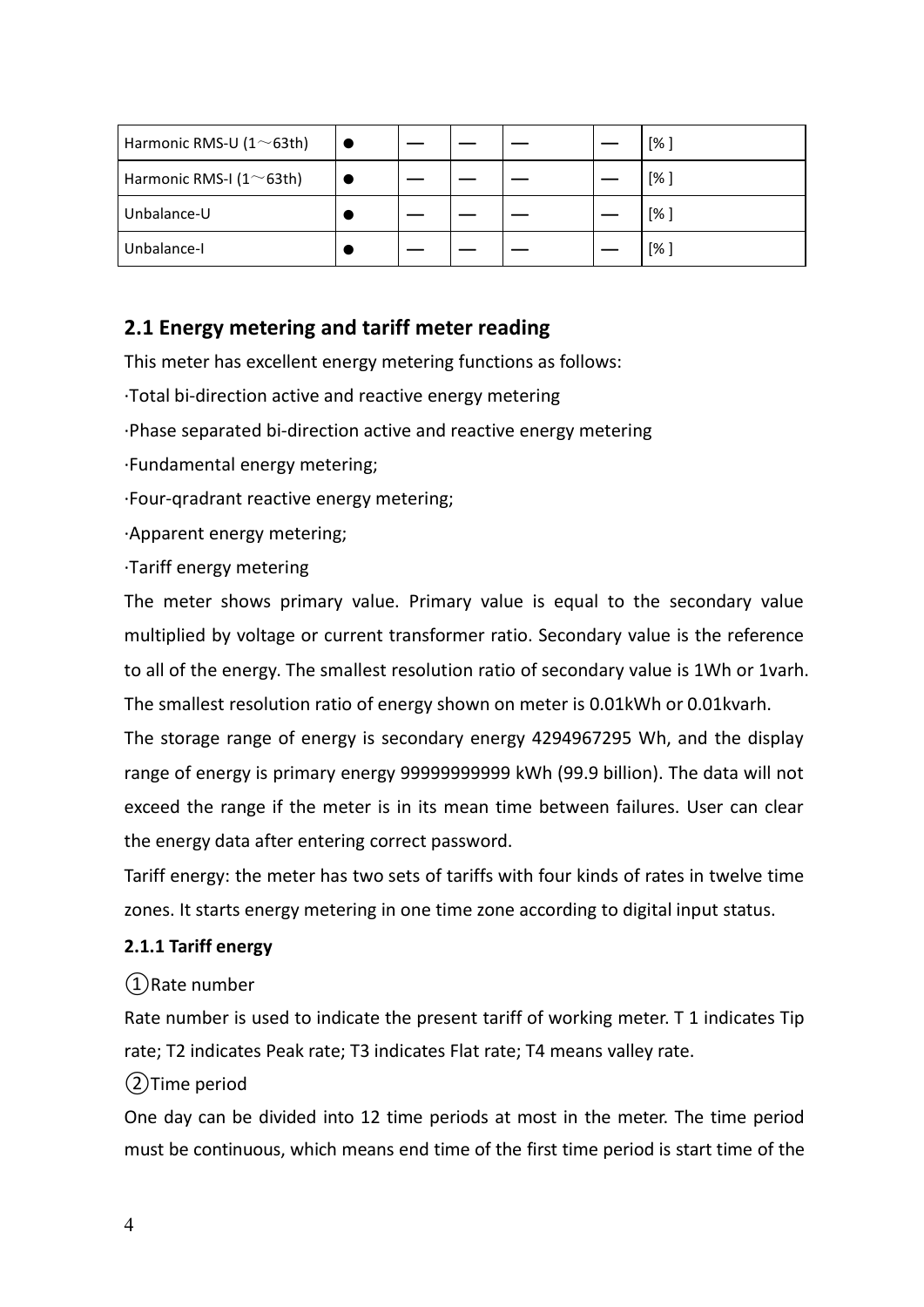| Harmonic RMS-U ( $1 \sim 63$ th)  |  |  | [%] |
|-----------------------------------|--|--|-----|
| Harmonic RMS-I ( $1^{\sim}$ 63th) |  |  | [%] |
| Unbalance-U                       |  |  | [%] |
| Unbalance-I                       |  |  | [%  |

#### **2.1 Energy metering and tariff meter reading**

This meter has excellent energy metering functions as follows:

·Total bi-direction active and reactive energy metering

·Phase separated bi-direction active and reactive energy metering

·Fundamental energy metering;

·Four-qradrant reactive energy metering;

·Apparent energy metering;

·Tariff energy metering

The meter shows primary value. Primary value is equal to the secondary value multiplied by voltage or current transformer ratio. Secondary value is the reference to all of the energy. The smallest resolution ratio of secondary value is 1Wh or 1varh. The smallest resolution ratio of energy shown on meter is 0.01kWh or 0.01kvarh.

The storage range of energy is secondary energy 4294967295 Wh, and the display range of energy is primary energy 99999999999 kWh (99.9 billion). The data will not exceed the range if the meter is in its mean time between failures. User can clear the energy data after entering correct password.

Tariff energy: the meter has two sets of tariffs with four kinds of rates in twelve time zones. It starts energy metering in one time zone according to digital input status.

#### **2.1.1 Tariff energy**

①Rate number

Rate number is used to indicate the present tariff of working meter. T 1 indicates Tip rate; T2 indicates Peak rate; T3 indicates Flat rate; T4 means valley rate.

#### ②Time period

One day can be divided into 12 time periods at most in the meter. The time period must be continuous, which means end time of the first time period is start time of the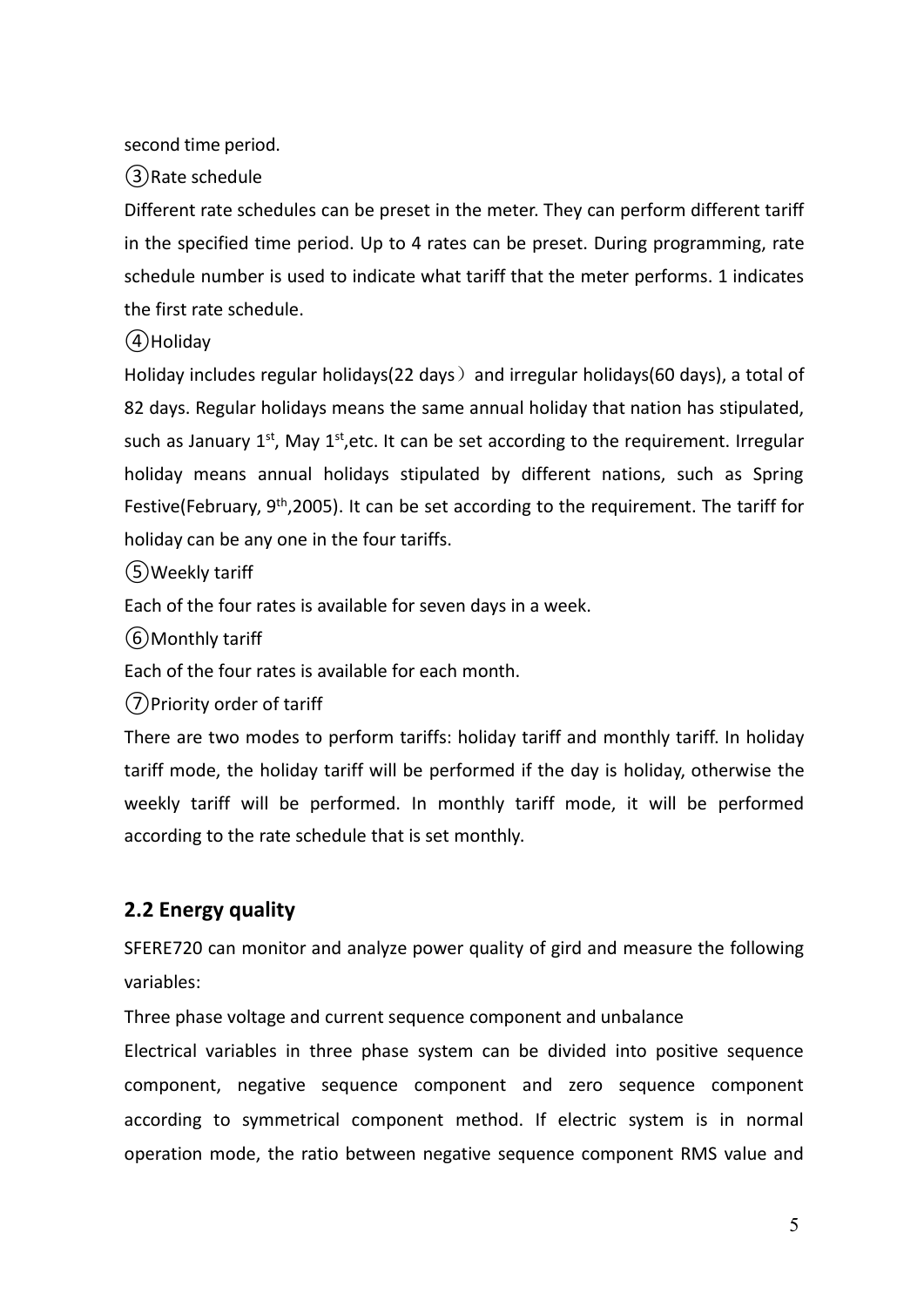second time period.

③Rate schedule

Different rate schedules can be preset in the meter. They can perform different tariff in the specified time period. Up to 4 rates can be preset. During programming, rate schedule number is used to indicate what tariff that the meter performs. 1 indicates the first rate schedule.

④Holiday

Holiday includes regular holidays(22 days) and irregular holidays(60 days), a total of 82 days. Regular holidays means the same annual holiday that nation has stipulated, such as January 1<sup>st</sup>, May 1<sup>st</sup>,etc. It can be set according to the requirement. Irregular holiday means annual holidays stipulated by different nations, such as Spring Festive(February, 9<sup>th</sup>,2005). It can be set according to the requirement. The tariff for holiday can be any one in the four tariffs.

⑤Weekly tariff

Each of the four rates is available for seven days in a week.

⑥Monthly tariff

Each of the four rates is available for each month.

⑦Priority order of tariff

There are two modes to perform tariffs: holiday tariff and monthly tariff. In holiday tariff mode, the holiday tariff will be performed if the day is holiday, otherwise the weekly tariff will be performed. In monthly tariff mode, it will be performed according to the rate schedule that is set monthly.

#### **2.2 Energy quality**

SFERE720 can monitor and analyze power quality of gird and measure the following variables:

Three phase voltage and current sequence component and unbalance

Electrical variables in three phase system can be divided into positive sequence component, negative sequence component and zero sequence component according to symmetrical component method. If electric system is in normal operation mode, the ratio between negative sequence component RMS value and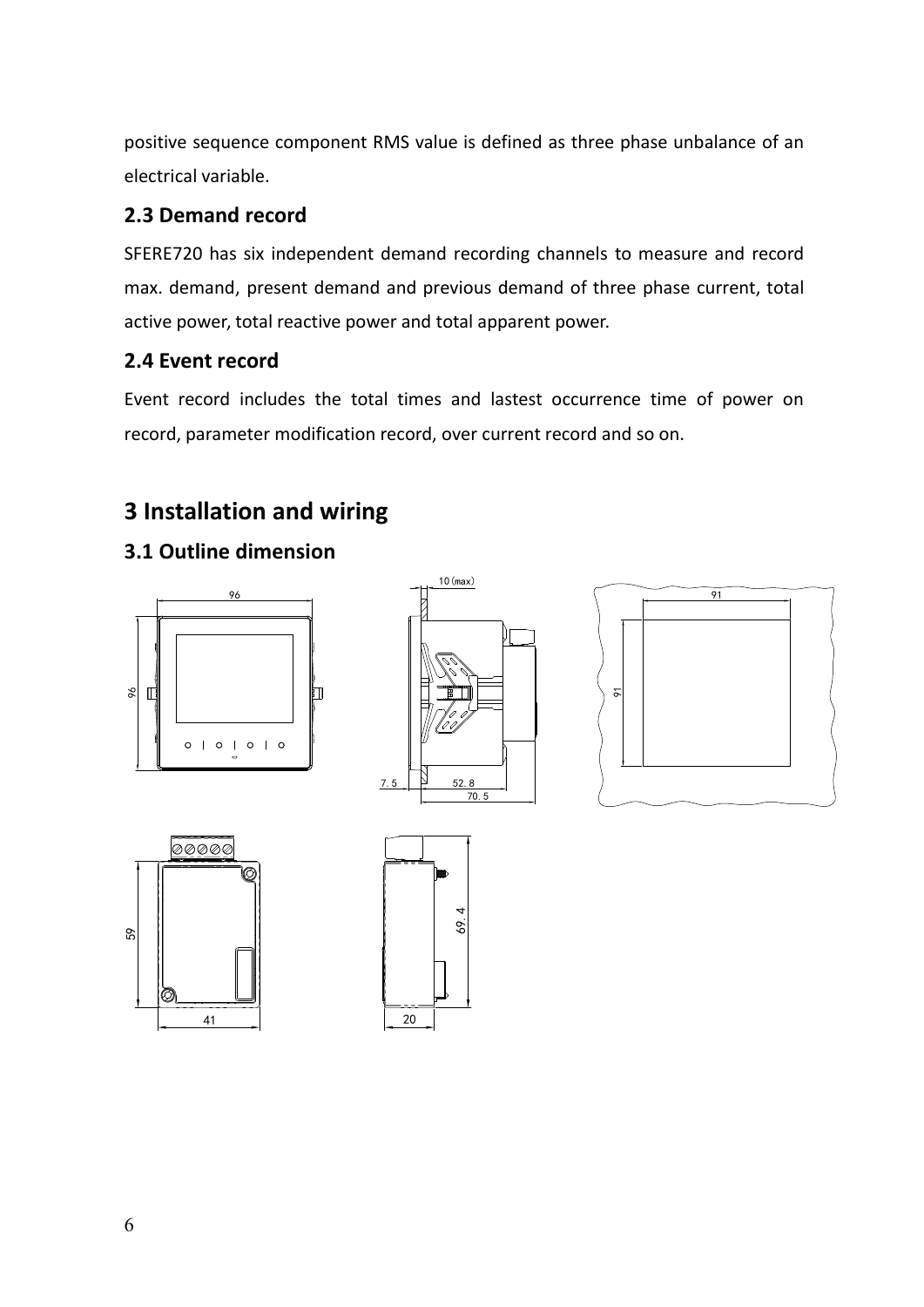positive sequence component RMS value is defined as three phase unbalance of an electrical variable.

#### **2.3 Demand record**

SFERE720 has six independent demand recording channels to measure and record max. demand, present demand and previous demand of three phase current, total active power, total reactive power and total apparent power.

#### **2.4 Event record**

Event record includes the total times and lastest occurrence time of power on record, parameter modification record, over current record and so on.

## **3 Installation and wiring**

#### **3.1 Outline dimension**









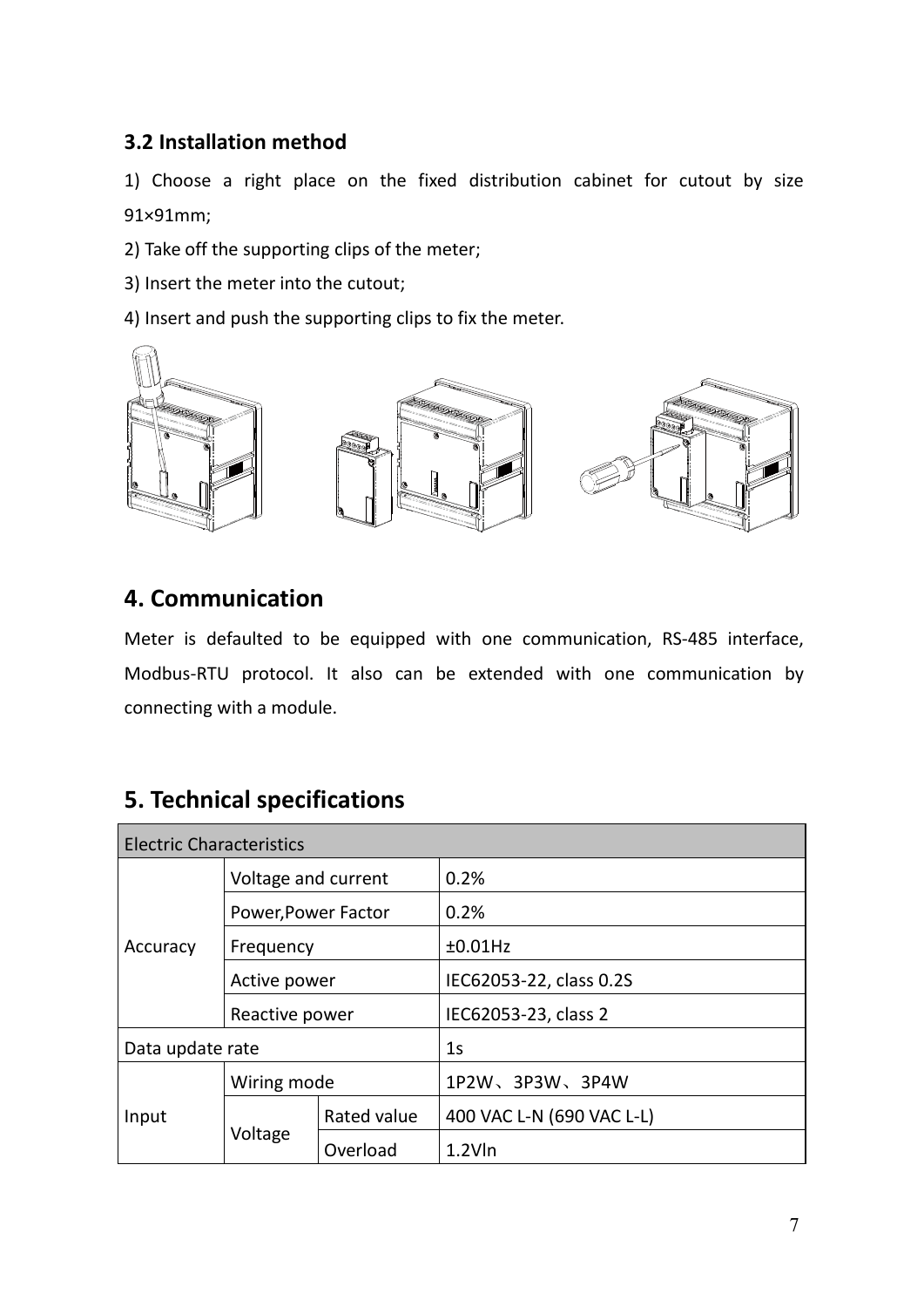#### **3.2 Installation method**

1) Choose a right place on the fixed distribution cabinet for cutout by size 91×91mm;

2) Take off the supporting clips of the meter;

3) Insert the meter into the cutout;

4) Insert and push the supporting clips to fix the meter.



## **4. Communication**

Meter is defaulted to be equipped with one communication, RS-485 interface, Modbus-RTU protocol. It also can be extended with one communication by connecting with a module.

## **5. Technical specifications**

| <b>Electric Characteristics</b> |                     |             |                           |  |  |
|---------------------------------|---------------------|-------------|---------------------------|--|--|
| Accuracy                        | Voltage and current |             | 0.2%                      |  |  |
|                                 | Power, Power Factor |             | 0.2%                      |  |  |
|                                 | Frequency           |             | ±0.01Hz                   |  |  |
|                                 | Active power        |             | IEC62053-22, class 0.2S   |  |  |
|                                 | Reactive power      |             | IEC62053-23, class 2      |  |  |
| Data update rate                |                     |             | 1 <sub>S</sub>            |  |  |
|                                 | Wiring mode         |             | 1P2W、3P3W、3P4W            |  |  |
| Input                           |                     | Rated value | 400 VAC L-N (690 VAC L-L) |  |  |
|                                 | Voltage             | Overload    | $1.2$ V $\ln$             |  |  |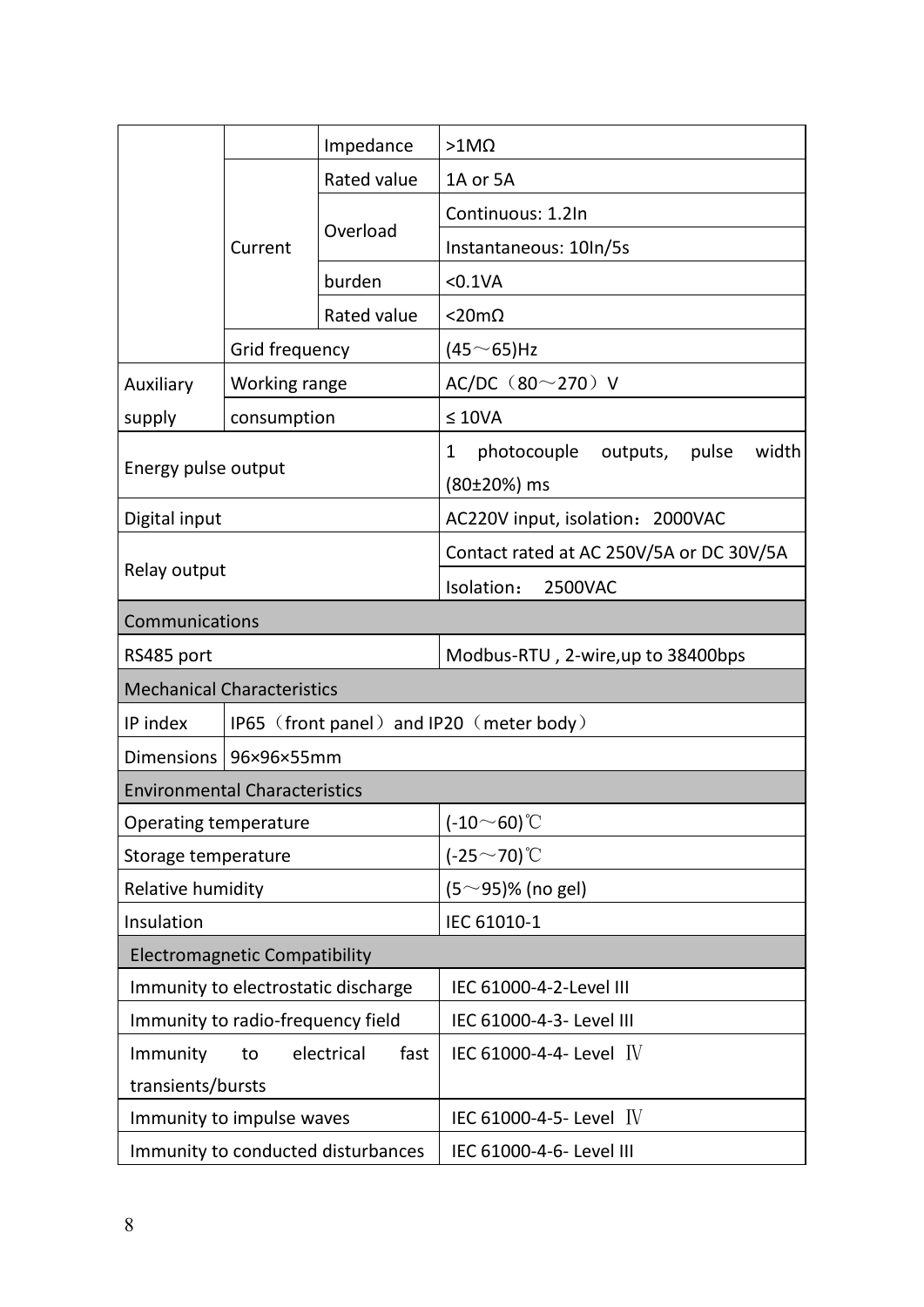|                                      |                | Impedance                          | $>1$ M $\Omega$                                            |  |  |
|--------------------------------------|----------------|------------------------------------|------------------------------------------------------------|--|--|
| Rated value                          |                |                                    | 1A or 5A                                                   |  |  |
|                                      |                | Overload                           | Continuous: 1.2In                                          |  |  |
|                                      | Current        |                                    | Instantaneous: 10In/5s                                     |  |  |
|                                      | burden         |                                    | $<$ 0.1VA                                                  |  |  |
|                                      |                | Rated value                        | <20mΩ                                                      |  |  |
|                                      | Grid frequency |                                    | (45 $\sim$ 65)Hz                                           |  |  |
| Auxiliary                            | Working range  |                                    | AC/DC (80~270) V                                           |  |  |
| supply                               | consumption    |                                    | $\leq 10VA$                                                |  |  |
| Energy pulse output                  |                |                                    | photocouple outputs,<br>width<br>1<br>pulse<br>(80±20%) ms |  |  |
| Digital input                        |                |                                    | AC220V input, isolation: 2000VAC                           |  |  |
|                                      |                |                                    | Contact rated at AC 250V/5A or DC 30V/5A                   |  |  |
| Relay output                         |                |                                    | Isolation:<br>2500VAC                                      |  |  |
| Communications                       |                |                                    |                                                            |  |  |
| RS485 port                           |                |                                    | Modbus-RTU, 2-wire,up to 38400bps                          |  |  |
| <b>Mechanical Characteristics</b>    |                |                                    |                                                            |  |  |
| IP index                             |                |                                    | IP65 (front panel) and IP20 (meter body)                   |  |  |
| Dimensions   96×96×55mm              |                |                                    |                                                            |  |  |
| <b>Environmental Characteristics</b> |                |                                    |                                                            |  |  |
| Operating temperature                |                |                                    | $(-10~60)$ °C                                              |  |  |
| Storage temperature                  |                |                                    | $(-25 \sim 70)$ °C                                         |  |  |
| Relative humidity                    |                |                                    | $(5~95)\%$ (no gel)                                        |  |  |
| Insulation                           |                |                                    | IEC 61010-1                                                |  |  |
| <b>Electromagnetic Compatibility</b> |                |                                    |                                                            |  |  |
| Immunity to electrostatic discharge  |                |                                    | IEC 61000-4-2-Level III                                    |  |  |
| Immunity to radio-frequency field    |                |                                    | IEC 61000-4-3- Level III                                   |  |  |
| Immunity                             | to             | electrical<br>fast                 | IEC 61000-4-4- Level $\,$ IV                               |  |  |
| transients/bursts                    |                |                                    |                                                            |  |  |
| Immunity to impulse waves            |                |                                    | IEC 61000-4-5- Level $\,$ IV                               |  |  |
|                                      |                | Immunity to conducted disturbances | IEC 61000-4-6- Level III                                   |  |  |